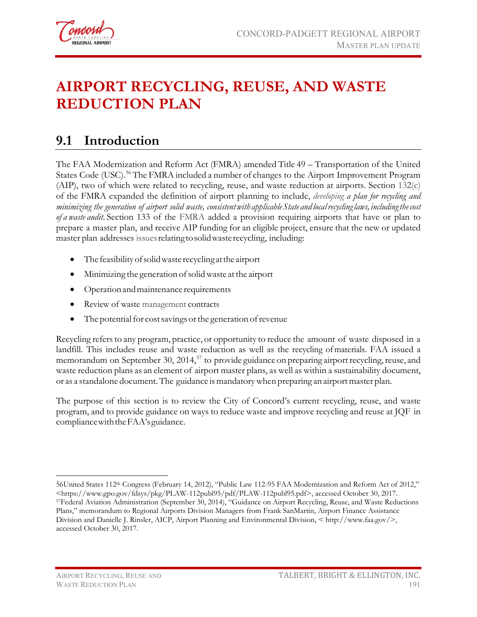

# **AIRPORT RECYCLING, REUSE, AND WASTE REDUCTION PLAN**

## **9.1 Introduction**

The FAA Modernization and Reform Act (FMRA) amended Title 49 – Transportation of the United States Code (USC).<sup>[56](#page-0-0)</sup> The FMRA included a number of changes to the Airport Improvement Program (AIP), two of which were related to recycling, reuse, and waste reduction at airports. Section 132(c) of the FMRA expanded the definition of airport planning to include, *developing a plan for recycling and minimizing the generation of airport solid waste, consistentwith applicableState and localrecyclinglaws, includingthecost of a waste audit*. Section 133 of the FMRA added a provision requiring airports that have or plan to prepare a master plan, and receive AIP funding for an eligible project, ensure that the new or updated master plan addresses issuesrelatingtosolidwasterecycling, including:

- The feasibilityofsolidwaste recycling atthe airport
- Minimizing the generation of solid waste at the airport
- Operation and maintenance requirements
- Review of waste management contracts
- $\bullet$  The potential for cost savings or the generation of revenue

Recycling refersto any program, practice, or opportunity to reduce the amount of waste disposed in a landfill. This includes reuse and waste reduction as well as the recycling ofmaterials. FAA issued a memorandum on September 30,  $2014$ <sup>[57](#page-0-1)</sup> to provide guidance on preparing airport recycling, reuse, and waste reduction plans as an element of airport master plans, as well as within a sustainability document, or as a standalone document. The guidance is mandatory when preparing an airport master plan.

The purpose of this section is to review the City of Concord's current recycling, reuse, and waste program, and to provide guidance on ways to reduce waste and improve recycling and reuse at JQF in compliancewiththeFAA'sguidance.

<span id="page-0-1"></span><span id="page-0-0"></span> $\overline{a}$ 56United States 112th Congress (February 14, 2012), "Public Law 112-95 FAA Modernization and Reform Act of 2012," <https://www.gpo.gov/fdsys/pkg/PLAW-112publ95/pdf/PLAW-112publ95.pdf>, accessed October 30, 2017. 57Federal Aviation Administration (September 30, 2014), "Guidance on Airport Recycling, Reuse, and Waste Reductions Plans," memorandum to Regional Airports Division Managers from Frank SanMartin, Airport Finance Assistance Division and Danielle J. Rinsler, AICP, Airport Planning and Environmental Division, < http://www.faa.gov/>, accessed October 30, 2017.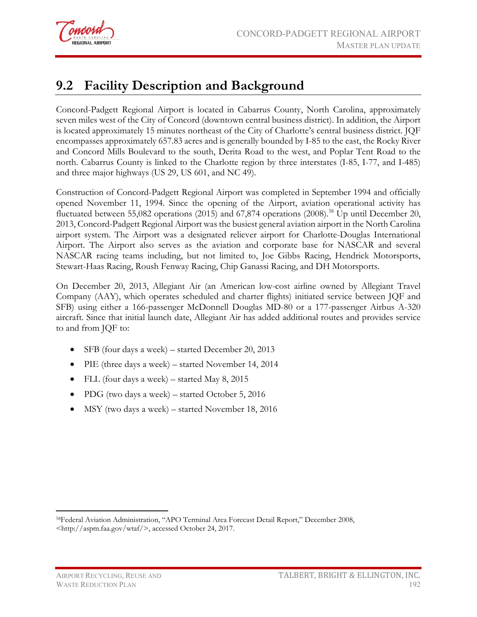

## **9.2 Facility Description and Background**

Concord-Padgett Regional Airport is located in Cabarrus County, North Carolina, approximately seven miles west of the City of Concord (downtown central business district). In addition, the Airport is located approximately 15 minutes northeast of the City of Charlotte's central business district. JQF encompasses approximately 657.83 acres and is generally bounded by I-85 to the east, the Rocky River and Concord Mills Boulevard to the south, Derita Road to the west, and Poplar Tent Road to the north. Cabarrus County is linked to the Charlotte region by three interstates (I-85, I-77, and I-485) and three major highways (US 29, US 601, and NC 49).

Construction of Concord-Padgett Regional Airport was completed in September 1994 and officially opened November 11, 1994. Since the opening of the Airport, aviation operational activity has fluctuated between 55,082 operations (2015) and 67,874 operations (2008).<sup>[58](#page-1-0)</sup> Up until December 20, 2013, Concord-Padgett Regional Airport was the busiest general aviation airport in the North Carolina airport system. The Airport was a designated reliever airport for Charlotte-Douglas International Airport. The Airport also serves as the aviation and corporate base for NASCAR and several NASCAR racing teams including, but not limited to, Joe Gibbs Racing, Hendrick Motorsports, Stewart-Haas Racing, Roush Fenway Racing, Chip Ganassi Racing, and DH Motorsports.

On December 20, 2013, Allegiant Air (an American [low-cost](http://en.wikipedia.org/wiki/Low-cost_carrier) [airline](http://en.wikipedia.org/wiki/Airline) owned by Allegiant Travel Company (AAY), which operates scheduled and charter flights) initiated service between JQF and SFB) using either a 166-passenger McDonnell Douglas [MD-80 or a 177-passenger Airbus A-320](http://www.allegiantair.com/airline-aircraft-airports)  [aircraft.](http://www.allegiantair.com/airline-aircraft-airports) Since that initial launch date, Allegiant Air has added additional routes and provides service to and from JQF to:

- SFB (four days a week) started December 20, 2013
- PIE (three days a week) started November 14, 2014
- FLL (four days a week) started May 8, 2015
- PDG (two days a week) started October 5, 2016
- MSY (two days a week) started November 18, 2016

<span id="page-1-0"></span> $\overline{a}$ 58Federal Aviation Administration, "APO Terminal Area Forecast Detail Report," December 2008, <http://aspm.faa.gov/wtaf/>, accessed October 24, 2017.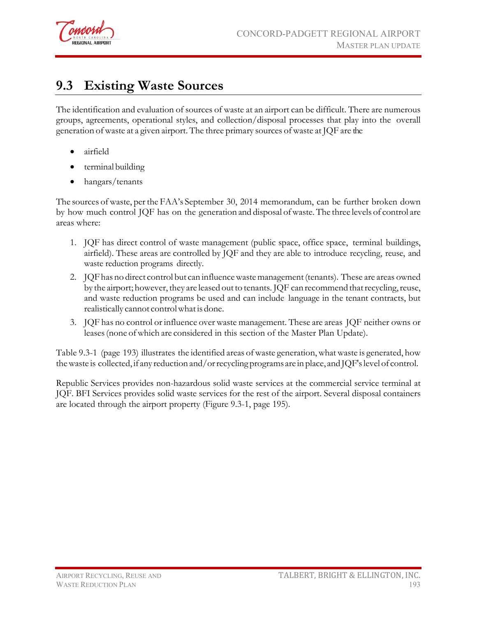

## **9.3 Existing Waste Sources**

The identification and evaluation of sources of waste at an airport can be difficult. There are numerous groups, agreements, operational styles, and collection/disposal processes that play into the overall generation of waste at a given airport. The three primary sources of waste at JQF are the

- airfield
- terminal building
- hangars/tenants

The sources of waste, perthe FAA's September 30, 2014 memorandum, can be further broken down by how much control JQF has on the generation and disposal of waste. The three levels of control are areas where:

- 1. JQF has direct control of waste management (public space, office space, terminal buildings, airfield). These areas are controlled by JQF and they are able to introduce recycling, reuse, and waste reduction programs directly.
- 2. JQFhas no direct control but can influencewastemanagement(tenants). These are areas owned by the airport; however, they are leased out to tenants. JQF can recommend that recycling, reuse, and waste reduction programs be used and can include language in the tenant contracts, but realistically cannot controlwhatis done.
- 3. JQF has no control or influence over waste management. These are areas JQF neither owns or leases (none of which are considered in this section of the Master Plan Update).

[Table](#page-3-0) 9.3-1 (page 193) illustrates the identified areas of waste generation,what waste is generated, how thewaste is collected, if any reduction and/orrecycling programs are in place, and JQF'slevel of control.

Republic Services provides non-hazardous solid waste services at the commercial service terminal at JQF. BFI Services provides solid waste services for the rest of the airport. Several disposal containers are located through the airport property (Figure 9.3-1, page 195).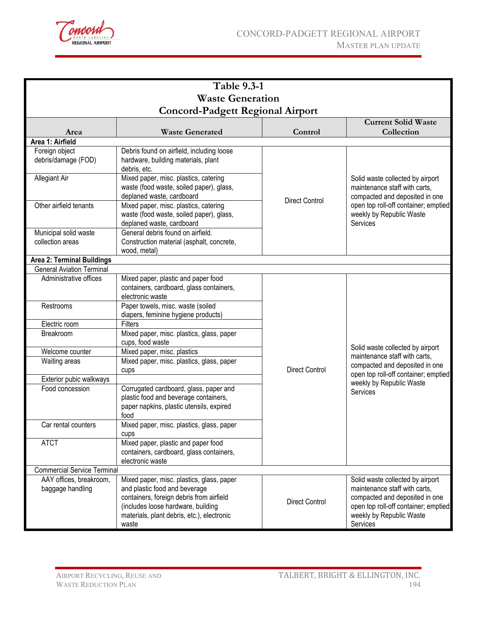

<span id="page-3-0"></span>

| <b>Table 9.3-1</b>                          |                                                                                                                                                                                                                     |                       |                                                                                                                                                                                            |  |  |  |  |  |  |
|---------------------------------------------|---------------------------------------------------------------------------------------------------------------------------------------------------------------------------------------------------------------------|-----------------------|--------------------------------------------------------------------------------------------------------------------------------------------------------------------------------------------|--|--|--|--|--|--|
| <b>Waste Generation</b>                     |                                                                                                                                                                                                                     |                       |                                                                                                                                                                                            |  |  |  |  |  |  |
| <b>Concord-Padgett Regional Airport</b>     |                                                                                                                                                                                                                     |                       |                                                                                                                                                                                            |  |  |  |  |  |  |
| <b>Current Solid Waste</b>                  |                                                                                                                                                                                                                     |                       |                                                                                                                                                                                            |  |  |  |  |  |  |
| Area                                        | <b>Waste Generated</b>                                                                                                                                                                                              | Control               | Collection                                                                                                                                                                                 |  |  |  |  |  |  |
| Area 1: Airfield                            |                                                                                                                                                                                                                     |                       |                                                                                                                                                                                            |  |  |  |  |  |  |
| Foreign object<br>debris/damage (FOD)       | Debris found on airfield, including loose<br>hardware, building materials, plant<br>debris, etc.                                                                                                                    |                       | Solid waste collected by airport<br>maintenance staff with carts.<br>compacted and deposited in one<br>open top roll-off container; emptied<br>weekly by Republic Waste<br><b>Services</b> |  |  |  |  |  |  |
| Allegiant Air                               | Mixed paper, misc. plastics, catering<br>waste (food waste, soiled paper), glass,<br>deplaned waste, cardboard                                                                                                      |                       |                                                                                                                                                                                            |  |  |  |  |  |  |
| Other airfield tenants                      | Mixed paper, misc. plastics, catering<br>waste (food waste, soiled paper), glass,<br>deplaned waste, cardboard                                                                                                      | <b>Direct Control</b> |                                                                                                                                                                                            |  |  |  |  |  |  |
| Municipal solid waste<br>collection areas   | General debris found on airfield.<br>Construction material (asphalt, concrete,<br>wood, metal)                                                                                                                      |                       |                                                                                                                                                                                            |  |  |  |  |  |  |
| <b>Area 2: Terminal Buildings</b>           |                                                                                                                                                                                                                     |                       |                                                                                                                                                                                            |  |  |  |  |  |  |
| <b>General Aviation Terminal</b>            |                                                                                                                                                                                                                     |                       |                                                                                                                                                                                            |  |  |  |  |  |  |
| Administrative offices                      | Mixed paper, plastic and paper food<br>containers, cardboard, glass containers,<br>electronic waste                                                                                                                 |                       |                                                                                                                                                                                            |  |  |  |  |  |  |
| Restrooms                                   | Paper towels, misc. waste (soiled<br>diapers, feminine hygiene products)                                                                                                                                            |                       |                                                                                                                                                                                            |  |  |  |  |  |  |
| Electric room                               | Filters                                                                                                                                                                                                             |                       |                                                                                                                                                                                            |  |  |  |  |  |  |
| Breakroom                                   | Mixed paper, misc. plastics, glass, paper<br>cups, food waste                                                                                                                                                       |                       | Solid waste collected by airport                                                                                                                                                           |  |  |  |  |  |  |
| Welcome counter                             | Mixed paper, misc. plastics                                                                                                                                                                                         |                       | maintenance staff with carts,                                                                                                                                                              |  |  |  |  |  |  |
| Waiting areas                               | Mixed paper, misc. plastics, glass, paper<br>cups                                                                                                                                                                   | <b>Direct Control</b> | compacted and deposited in one                                                                                                                                                             |  |  |  |  |  |  |
| Exterior pubic walkways                     |                                                                                                                                                                                                                     |                       | open top roll-off container; emptied<br>weekly by Republic Waste                                                                                                                           |  |  |  |  |  |  |
| Food concession                             | Corrugated cardboard, glass, paper and<br>plastic food and beverage containers,<br>paper napkins, plastic utensils, expired<br>food                                                                                 |                       | Services                                                                                                                                                                                   |  |  |  |  |  |  |
| Car rental counters                         | Mixed paper, misc. plastics, glass, paper<br>cups                                                                                                                                                                   |                       |                                                                                                                                                                                            |  |  |  |  |  |  |
| <b>ATCT</b>                                 | Mixed paper, plastic and paper food<br>containers, cardboard, glass containers,<br>electronic waste                                                                                                                 |                       |                                                                                                                                                                                            |  |  |  |  |  |  |
| <b>Commercial Service Terminal</b>          |                                                                                                                                                                                                                     |                       |                                                                                                                                                                                            |  |  |  |  |  |  |
| AAY offices, breakroom,<br>baggage handling | Mixed paper, misc. plastics, glass, paper<br>and plastic food and beverage<br>containers, foreign debris from airfield<br>(includes loose hardware, building<br>materials, plant debris, etc.), electronic<br>waste |                       | Solid waste collected by airport<br>maintenance staff with carts,<br>compacted and deposited in one<br>open top roll-off container; emptied<br>weekly by Republic Waste<br>Services        |  |  |  |  |  |  |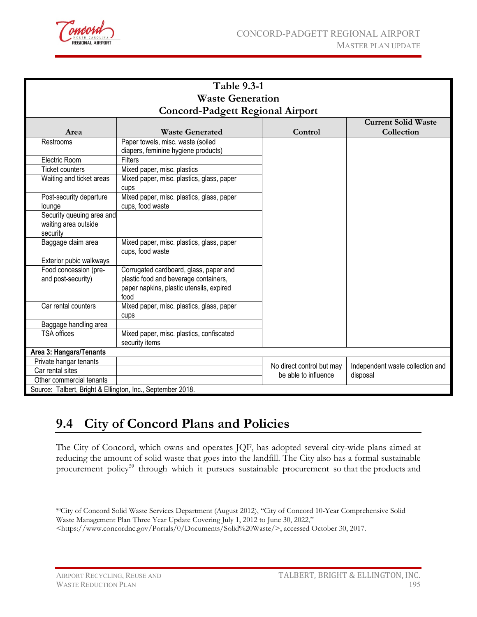

| <b>Table 9.3-1</b>                                            |                                                                                                                                     |                           |                                              |  |  |  |  |  |  |
|---------------------------------------------------------------|-------------------------------------------------------------------------------------------------------------------------------------|---------------------------|----------------------------------------------|--|--|--|--|--|--|
| <b>Waste Generation</b>                                       |                                                                                                                                     |                           |                                              |  |  |  |  |  |  |
|                                                               |                                                                                                                                     |                           |                                              |  |  |  |  |  |  |
| <b>Concord-Padgett Regional Airport</b>                       |                                                                                                                                     |                           |                                              |  |  |  |  |  |  |
|                                                               |                                                                                                                                     |                           | <b>Current Solid Waste</b>                   |  |  |  |  |  |  |
| Area                                                          | <b>Waste Generated</b>                                                                                                              | Control                   | Collection                                   |  |  |  |  |  |  |
| Restrooms                                                     | Paper towels, misc. waste (soiled<br>diapers, feminine hygiene products)                                                            |                           |                                              |  |  |  |  |  |  |
| Electric Room                                                 | Filters                                                                                                                             |                           |                                              |  |  |  |  |  |  |
| <b>Ticket counters</b>                                        | Mixed paper, misc. plastics                                                                                                         |                           |                                              |  |  |  |  |  |  |
| Waiting and ticket areas                                      | Mixed paper, misc. plastics, glass, paper                                                                                           |                           |                                              |  |  |  |  |  |  |
|                                                               | cups                                                                                                                                |                           |                                              |  |  |  |  |  |  |
| Post-security departure<br>lounge                             | Mixed paper, misc. plastics, glass, paper<br>cups, food waste                                                                       |                           |                                              |  |  |  |  |  |  |
| Security queuing area and<br>waiting area outside<br>security |                                                                                                                                     |                           |                                              |  |  |  |  |  |  |
| Baggage claim area                                            | Mixed paper, misc. plastics, glass, paper<br>cups, food waste                                                                       |                           |                                              |  |  |  |  |  |  |
| Exterior pubic walkways                                       |                                                                                                                                     |                           |                                              |  |  |  |  |  |  |
| Food concession (pre-<br>and post-security)                   | Corrugated cardboard, glass, paper and<br>plastic food and beverage containers,<br>paper napkins, plastic utensils, expired<br>food |                           |                                              |  |  |  |  |  |  |
| Car rental counters                                           | Mixed paper, misc. plastics, glass, paper<br>cups                                                                                   |                           |                                              |  |  |  |  |  |  |
| Baggage handling area                                         |                                                                                                                                     |                           |                                              |  |  |  |  |  |  |
| <b>TSA offices</b>                                            | Mixed paper, misc. plastics, confiscated<br>security items                                                                          |                           |                                              |  |  |  |  |  |  |
| Area 3: Hangars/Tenants                                       |                                                                                                                                     |                           |                                              |  |  |  |  |  |  |
| Private hangar tenants                                        |                                                                                                                                     | No direct control but may |                                              |  |  |  |  |  |  |
| Car rental sites                                              |                                                                                                                                     |                           | Independent waste collection and<br>disposal |  |  |  |  |  |  |
| Other commercial tenants                                      |                                                                                                                                     | be able to influence      |                                              |  |  |  |  |  |  |
| Source: Talbert, Bright & Ellington, Inc., September 2018.    |                                                                                                                                     |                           |                                              |  |  |  |  |  |  |

## **9.4 City of Concord Plans and Policies**

The City of Concord, which owns and operates JQF, has adopted several city-wide plans aimed at reducing the amount of solid waste that goes into the landfill. The City also has a formal sustainable procurement policy<sup>[59](#page-4-0)</sup> through which it pursues sustainable procurement so that the products and

 $\overline{a}$ 

<span id="page-4-0"></span><sup>59</sup>City of Concord Solid Waste Services Department (August 2012), "City of Concord 10-Year Comprehensive Solid Waste Management Plan Three Year Update Covering July 1, 2012 to June 30, 2022,"

<sup>&</sup>lt;https://www.concordnc.gov/Portals/0/Documents/Solid%20Waste/>, accessed October 30, 2017.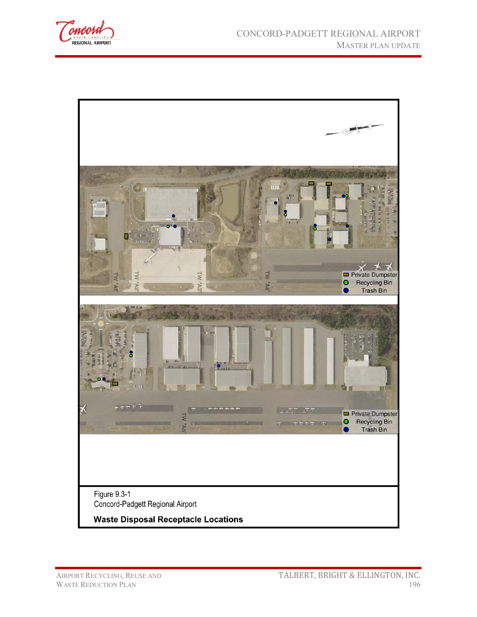

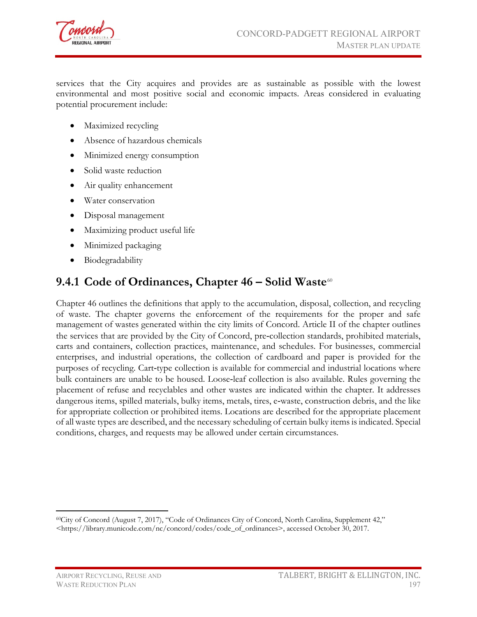

services that the City acquires and provides are as sustainable as possible with the lowest environmental and most positive social and economic impacts. Areas considered in evaluating potential procurement include:

- Maximized recycling
- Absence of hazardous chemicals
- Minimized energy consumption
- Solid waste reduction
- Air quality enhancement
- Water conservation
- Disposal management
- Maximizing product useful life
- Minimized packaging
- Biodegradability

### **9.4.1 Code of Ordinances, Chapter 46 – Solid Waste**[60](#page-6-0)

Chapter 46 outlines the definitions that apply to the accumulation, disposal, collection, and recycling of waste. The chapter governs the enforcement of the requirements for the proper and safe management of wastes generated within the city limits of Concord. Article II of the chapter outlines the services that are provided by the City of Concord, pre‐collection standards, prohibited materials, carts and containers, collection practices, maintenance, and schedules. For businesses, commercial enterprises, and industrial operations, the collection of cardboard and paper is provided for the purposes of recycling. Cart-type collection is available for commercial and industrial locations where bulk containers are unable to be housed. Loose‐leaf collection is also available. Rules governing the placement of refuse and recyclables and other wastes are indicated within the chapter. It addresses dangerous items, spilled materials, bulky items, metals, tires, e-waste, construction debris, and the like for appropriate collection or prohibited items. Locations are described for the appropriate placement of all waste types are described, and the necessary scheduling of certain bulky items is indicated. Special conditions, charges, and requests may be allowed under certain circumstances.

<span id="page-6-0"></span> $\overline{a}$ 60City of Concord (August 7, 2017), "Code of Ordinances City of Concord, North Carolina, Supplement 42," <https://library.municode.com/nc/concord/codes/code\_of\_ordinances>, accessed October 30, 2017.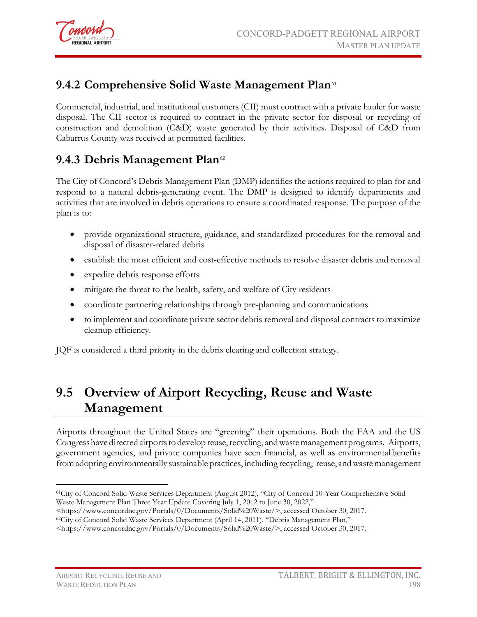

### **9.4.2 Comprehensive Solid Waste Management Plan**[61](#page-7-0)

Commercial, industrial, and institutional customers (CII) must contract with a private hauler for waste disposal. The CII sector is required to contract in the private sector for disposal or recycling of construction and demolition (C&D) waste generated by their activities. Disposal of C&D from Cabarrus County was received at permitted facilities.

### 9.4.3 Debris Management Plan<sup>[62](#page-7-1)</sup>

The City of Concord's Debris Management Plan (DMP) identifies the actions required to plan for and respond to a natural debris-generating event. The DMP is designed to identify departments and activities that are involved in debris operations to ensure a coordinated response. The purpose of the plan is to:

- provide organizational structure, guidance, and standardized procedures for the removal and disposal of disaster-related debris
- establish the most efficient and cost-effective methods to resolve disaster debris and removal
- expedite debris response efforts
- mitigate the threat to the health, safety, and welfare of City residents
- coordinate partnering relationships through pre-planning and communications
- to implement and coordinate private sector debris removal and disposal contracts to maximize cleanup efficiency.

JQF is considered a third priority in the debris clearing and collection strategy.

## **9.5 Overview of Airport Recycling, Reuse and Waste Management**

Airports throughout the United States are "greening" their operations. Both the FAA and the US Congress have directed airports to develop reuse, recycling, and waste management programs. Airports, government agencies, and private companies have seen financial, as well as environmental benefits fromadopting environmentally sustainable practices, including recycling, reuse, andwastemanagement

<span id="page-7-0"></span> $\overline{a}$ 61City of Concord Solid Waste Services Department (August 2012), "City of Concord 10-Year Comprehensive Solid Waste Management Plan Three Year Update Covering July 1, 2012 to June 30, 2022,"

<sup>&</sup>lt;https://www.concordnc.gov/Portals/0/Documents/Solid%20Waste/>, accessed October 30, 2017.

<span id="page-7-1"></span><sup>&</sup>lt;sup>62</sup>City of Concord Solid Waste Services Department (April 14, 2011), "Debris Management Plan,"

<sup>&</sup>lt;https://www.concordnc.gov/Portals/0/Documents/Solid%20Waste/>, accessed October 30, 2017.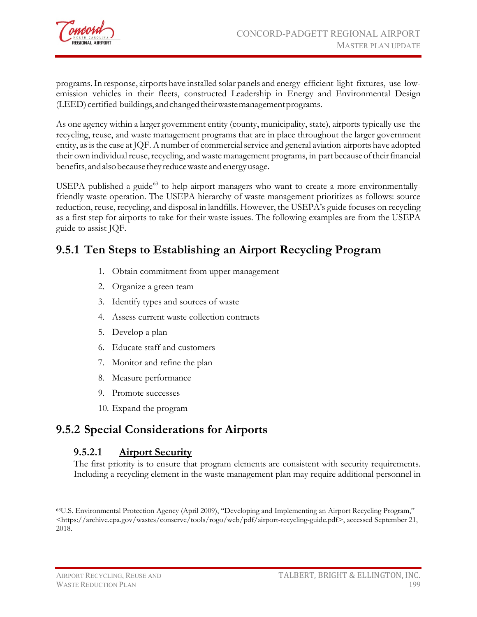

programs.In response, airports have installed solar panels and energy efficient light fixtures, use lowemission vehicles in their fleets, constructed Leadership in Energy and Environmental Design (LEED) certified buildings, and changed their waste management programs.

As one agency within a larger government entity (county, municipality, state), airports typically use the recycling, reuse, and waste management programs that are in place throughout the larger government entity, as is the case at JQF. A number of commercial service and general aviation airports have adopted their own individual reuse, recycling, and waste management programs, in part because of their financial benefits, andalsobecausethey reducewasteandenergyusage.

USEPA published a guide<sup>[63](#page-8-0)</sup> to help airport managers who want to create a more environmentallyfriendly waste operation. The USEPA hierarchy of waste management prioritizes as follows: source reduction, reuse, recycling, and disposal in landfills. However, the USEPA's guide focuses on recycling as a first step for airports to take for their waste issues. The following examples are from the USEPA guide to assist JQF.

### **9.5.1 Ten Steps to Establishing an Airport Recycling Program**

- 1. Obtain commitment from upper management
- 2. Organize a green team
- 3. Identify types and sources of waste
- 4. Assess current waste collection contracts
- 5. Develop a plan
- 6. Educate staff and customers
- 7. Monitor and refine the plan
- 8. Measure performance
- 9. Promote successes
- 10. Expand the program

### **9.5.2 Special Considerations for Airports**

#### **9.5.2.1 Airport Security**

The first priority is to ensure that program elements are consistent with security requirements. Including a recycling element in the waste management plan may require additional personnel in

 $\overline{a}$ 

<span id="page-8-0"></span><sup>63</sup>U.S. Environmental Protection Agency (April 2009), "Developing and Implementing an Airport Recycling Program," <https://archive.epa.gov/wastes/conserve/tools/rogo/web/pdf/airport-recycling-guide.pdf>, accessed September 21, 2018.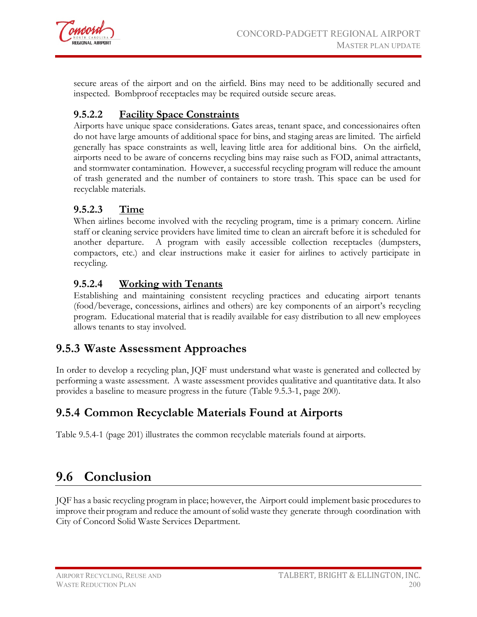

secure areas of the airport and on the airfield. Bins may need to be additionally secured and inspected. Bombproof receptacles may be required outside secure areas.

#### **9.5.2.2 Facility Space Constraints**

Airports have unique space considerations. Gates areas, tenant space, and concessionaires often do not have large amounts of additional space for bins, and staging areas are limited. The airfield generally has space constraints as well, leaving little area for additional bins. On the airfield, airports need to be aware of concerns recycling bins may raise such as FOD, animal attractants, and stormwater contamination. However, a successful recycling program will reduce the amount of trash generated and the number of containers to store trash. This space can be used for recyclable materials.

#### **9.5.2.3 Time**

When airlines become involved with the recycling program, time is a primary concern. Airline staff or cleaning service providers have limited time to clean an aircraft before it is scheduled for another departure. A program with easily accessible collection receptacles (dumpsters, compactors, etc.) and clear instructions make it easier for airlines to actively participate in recycling.

#### **9.5.2.4 Working with Tenants**

Establishing and maintaining consistent recycling practices and educating airport tenants (food/beverage, concessions, airlines and others) are key components of an airport's recycling program. Educational material that is readily available for easy distribution to all new employees allows tenants to stay involved.

### **9.5.3 Waste Assessment Approaches**

In order to develop a recycling plan, JQF must understand what waste is generated and collected by performing a waste assessment. A waste assessment provides qualitative and quantitative data. It also provides a baseline to measure progress in the future (Table 9.5.3-1, page 200).

### **9.5.4 Common Recyclable Materials Found at Airports**

Table 9.5.4-1 (page 201) illustrates the common recyclable materials found at airports.

## **9.6 Conclusion**

JQF has a basic recycling program in place; however, the Airport could implement basic proceduresto improve their program and reduce the amount ofsolid waste they generate through coordination with City of Concord Solid Waste Services Department.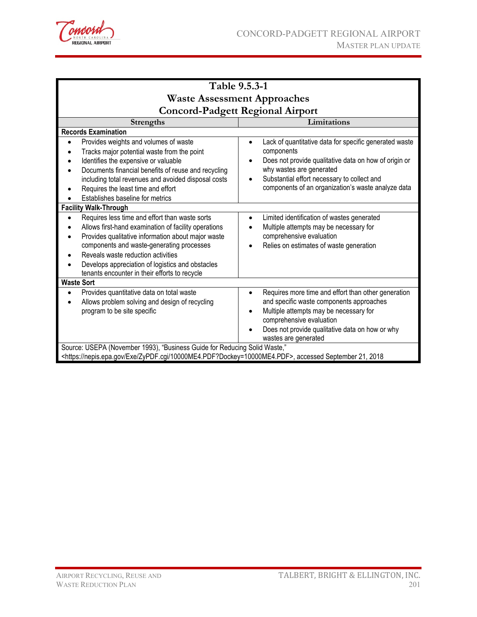

| Table 9.5.3-1                                                                                                                                                                                                                                                                                                                                        |                                                                                                                                                                                                                                                                             |  |  |  |  |  |  |
|------------------------------------------------------------------------------------------------------------------------------------------------------------------------------------------------------------------------------------------------------------------------------------------------------------------------------------------------------|-----------------------------------------------------------------------------------------------------------------------------------------------------------------------------------------------------------------------------------------------------------------------------|--|--|--|--|--|--|
| <b>Waste Assessment Approaches</b>                                                                                                                                                                                                                                                                                                                   |                                                                                                                                                                                                                                                                             |  |  |  |  |  |  |
| <b>Concord-Padgett Regional Airport</b>                                                                                                                                                                                                                                                                                                              |                                                                                                                                                                                                                                                                             |  |  |  |  |  |  |
| Limitations<br><b>Strengths</b>                                                                                                                                                                                                                                                                                                                      |                                                                                                                                                                                                                                                                             |  |  |  |  |  |  |
| <b>Records Examination</b>                                                                                                                                                                                                                                                                                                                           |                                                                                                                                                                                                                                                                             |  |  |  |  |  |  |
| Provides weights and volumes of waste<br>Tracks major potential waste from the point<br>Identifies the expensive or valuable<br>Documents financial benefits of reuse and recycling<br>including total revenues and avoided disposal costs<br>Requires the least time and effort<br>Establishes baseline for metrics                                 | Lack of quantitative data for specific generated waste<br>$\bullet$<br>components<br>Does not provide qualitative data on how of origin or<br>why wastes are generated<br>Substantial effort necessary to collect and<br>components of an organization's waste analyze data |  |  |  |  |  |  |
| <b>Facility Walk-Through</b>                                                                                                                                                                                                                                                                                                                         |                                                                                                                                                                                                                                                                             |  |  |  |  |  |  |
| Requires less time and effort than waste sorts<br>Allows first-hand examination of facility operations<br>Provides qualitative information about major waste<br>components and waste-generating processes<br>Reveals waste reduction activities<br>Develops appreciation of logistics and obstacles<br>tenants encounter in their efforts to recycle | Limited identification of wastes generated<br>$\bullet$<br>Multiple attempts may be necessary for<br>comprehensive evaluation<br>Relies on estimates of waste generation                                                                                                    |  |  |  |  |  |  |
| <b>Waste Sort</b>                                                                                                                                                                                                                                                                                                                                    |                                                                                                                                                                                                                                                                             |  |  |  |  |  |  |
| Provides quantitative data on total waste<br>Allows problem solving and design of recycling<br>program to be site specific                                                                                                                                                                                                                           | Requires more time and effort than other generation<br>and specific waste components approaches<br>Multiple attempts may be necessary for<br>comprehensive evaluation<br>Does not provide qualitative data on how or why<br>wastes are generated                            |  |  |  |  |  |  |
| Source: USEPA (November 1993), "Business Guide for Reducing Solid Waste,"<br><https: 10000me4.pdf?dockey="10000ME4.PDF" exe="" nepis.epa.gov="" zypdf.cgi="">, accessed September 21, 2018</https:>                                                                                                                                                  |                                                                                                                                                                                                                                                                             |  |  |  |  |  |  |